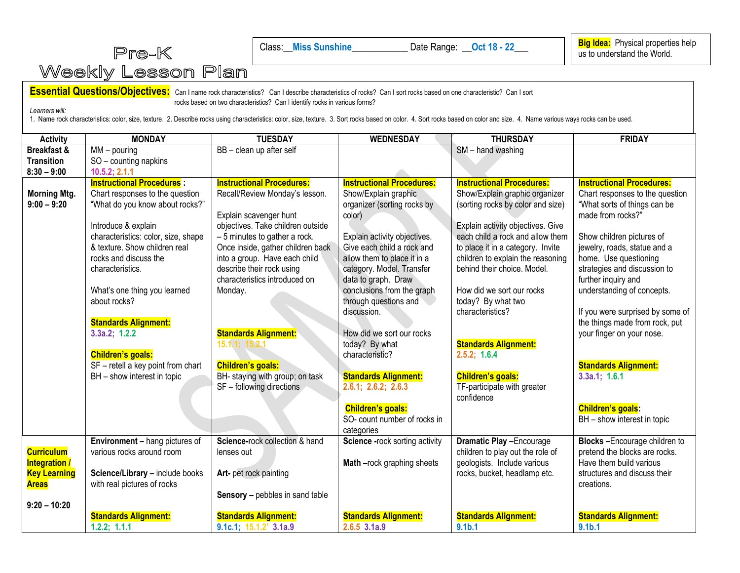Class:\_\_**Miss Sunshine**\_\_\_\_\_\_\_\_\_\_\_\_ Date Range: \_\_**Oct 18 - 22**\_\_\_

## Weekly Lesson Plan

Pre-K

**Essential Questions/Objectives:** Can I name rock characteristics? Can I describe characteristics of rocks? Can I sort rocks based on one characteristic? Can I sort rocks based on two characteristics? Can I identify rocks in various forms?

*Learners will:* 

 $\overline{a}$ 

1. Name rock characteristics: color, size, texture. 2. Describe rocks using characteristics: color, size, texture. 3. Sort rocks based on color. 4. Sort rocks based on color and size. 4. Name various ways rocks can be used.

| <b>Activity</b>                                                                  | <b>MONDAY</b>                                                                                                                                                                                                                                                                                                                                                                                                                                       | <b>TUESDAY</b>                                                                                                                                                                                                                                                                                                                                                                                                                                           | <b>WEDNESDAY</b>                                                                                                                                                                                                                                                                                                                                                                                                                                                                                             | <b>THURSDAY</b>                                                                                                                                                                                                                                                                                                                                                                                                                                                                   | <b>FRIDAY</b>                                                                                                                                                                                                                                                                                                                                                                                                                                                                                                     |
|----------------------------------------------------------------------------------|-----------------------------------------------------------------------------------------------------------------------------------------------------------------------------------------------------------------------------------------------------------------------------------------------------------------------------------------------------------------------------------------------------------------------------------------------------|----------------------------------------------------------------------------------------------------------------------------------------------------------------------------------------------------------------------------------------------------------------------------------------------------------------------------------------------------------------------------------------------------------------------------------------------------------|--------------------------------------------------------------------------------------------------------------------------------------------------------------------------------------------------------------------------------------------------------------------------------------------------------------------------------------------------------------------------------------------------------------------------------------------------------------------------------------------------------------|-----------------------------------------------------------------------------------------------------------------------------------------------------------------------------------------------------------------------------------------------------------------------------------------------------------------------------------------------------------------------------------------------------------------------------------------------------------------------------------|-------------------------------------------------------------------------------------------------------------------------------------------------------------------------------------------------------------------------------------------------------------------------------------------------------------------------------------------------------------------------------------------------------------------------------------------------------------------------------------------------------------------|
| Breakfast &                                                                      | $\overline{\text{MM}}$ – pouring                                                                                                                                                                                                                                                                                                                                                                                                                    | BB - clean up after self                                                                                                                                                                                                                                                                                                                                                                                                                                 |                                                                                                                                                                                                                                                                                                                                                                                                                                                                                                              | SM - hand washing                                                                                                                                                                                                                                                                                                                                                                                                                                                                 |                                                                                                                                                                                                                                                                                                                                                                                                                                                                                                                   |
| <b>Transition</b>                                                                | SO - counting napkins                                                                                                                                                                                                                                                                                                                                                                                                                               |                                                                                                                                                                                                                                                                                                                                                                                                                                                          |                                                                                                                                                                                                                                                                                                                                                                                                                                                                                                              |                                                                                                                                                                                                                                                                                                                                                                                                                                                                                   |                                                                                                                                                                                                                                                                                                                                                                                                                                                                                                                   |
| $8:30 - 9:00$                                                                    | 10.5.2; 2.1.1                                                                                                                                                                                                                                                                                                                                                                                                                                       |                                                                                                                                                                                                                                                                                                                                                                                                                                                          |                                                                                                                                                                                                                                                                                                                                                                                                                                                                                                              |                                                                                                                                                                                                                                                                                                                                                                                                                                                                                   |                                                                                                                                                                                                                                                                                                                                                                                                                                                                                                                   |
| <b>Morning Mtg.</b><br>$9:00 - 9:20$                                             | <b>Instructional Procedures:</b><br>Chart responses to the question<br>"What do you know about rocks?"<br>Introduce & explain<br>characteristics: color, size, shape<br>& texture. Show children real<br>rocks and discuss the<br>characteristics.<br>What's one thing you learned<br>about rocks?<br><b>Standards Alignment:</b><br>3.3a.2; 1.2.2<br><b>Children's goals:</b><br>SF - retell a key point from chart<br>BH - show interest in topic | <b>Instructional Procedures:</b><br>Recall/Review Monday's lesson.<br>Explain scavenger hunt<br>objectives. Take children outside<br>$-5$ minutes to gather a rock.<br>Once inside, gather children back<br>into a group. Have each child<br>describe their rock using<br>characteristics introduced on<br>Monday.<br><b>Standards Alignment:</b><br>15.1.1; 15.2.1<br>Children's goals:<br>BH- staying with group; on task<br>SF - following directions | <b>Instructional Procedures:</b><br>Show/Explain graphic<br>organizer (sorting rocks by<br>color)<br>Explain activity objectives.<br>Give each child a rock and<br>allow them to place it in a<br>category. Model. Transfer<br>data to graph. Draw<br>conclusions from the graph<br>through questions and<br>discussion.<br>How did we sort our rocks<br>today? By what<br>characteristic?<br><b>Standards Alignment:</b><br>2.6.1; 2.6.2; 2.6.3<br><b>Children's goals:</b><br>SO- count number of rocks in | <b>Instructional Procedures:</b><br>Show/Explain graphic organizer<br>(sorting rocks by color and size)<br>Explain activity objectives. Give<br>each child a rock and allow them<br>to place it in a category. Invite<br>children to explain the reasoning<br>behind their choice. Model.<br>How did we sort our rocks<br>today? By what two<br>characteristics?<br><b>Standards Alignment:</b><br>2.5.2; 1.6.4<br>Children's goals:<br>TF-participate with greater<br>confidence | <b>Instructional Procedures:</b><br>Chart responses to the question<br>"What sorts of things can be<br>made from rocks?"<br>Show children pictures of<br>jewelry, roads, statue and a<br>home. Use questioning<br>strategies and discussion to<br>further inquiry and<br>understanding of concepts.<br>If you were surprised by some of<br>the things made from rock, put<br>your finger on your nose.<br><b>Standards Alignment:</b><br>3.3a.1; 1.6.1<br><b>Children's goals:</b><br>BH - show interest in topic |
| <b>Curriculum</b><br><b>Integration /</b><br><b>Key Learning</b><br><b>Areas</b> | Environment - hang pictures of<br>various rocks around room<br>Science/Library - include books<br>with real pictures of rocks                                                                                                                                                                                                                                                                                                                       | Science-rock collection & hand<br>lenses out<br>Art- pet rock painting<br>Sensory - pebbles in sand table                                                                                                                                                                                                                                                                                                                                                | categories<br>Science -rock sorting activity<br>Math -rock graphing sheets                                                                                                                                                                                                                                                                                                                                                                                                                                   | <b>Dramatic Play -Encourage</b><br>children to play out the role of<br>geologists. Include various<br>rocks, bucket, headlamp etc.                                                                                                                                                                                                                                                                                                                                                | Blocks-Encourage children to<br>pretend the blocks are rocks.<br>Have them build various<br>structures and discuss their<br>creations.                                                                                                                                                                                                                                                                                                                                                                            |
| $9:20 - 10:20$                                                                   | <b>Standards Alignment:</b><br>1.2.2; 1.1.1                                                                                                                                                                                                                                                                                                                                                                                                         | <b>Standards Alignment:</b><br>9.1c.1; 15.1.2' 3.1a.9                                                                                                                                                                                                                                                                                                                                                                                                    | <b>Standards Alignment:</b><br>$2.6.5$ 3.1a.9                                                                                                                                                                                                                                                                                                                                                                                                                                                                | <b>Standards Alignment:</b><br>9.1 <sub>b.1</sub>                                                                                                                                                                                                                                                                                                                                                                                                                                 | <b>Standards Alignment:</b><br>9.1 <sub>b.1</sub>                                                                                                                                                                                                                                                                                                                                                                                                                                                                 |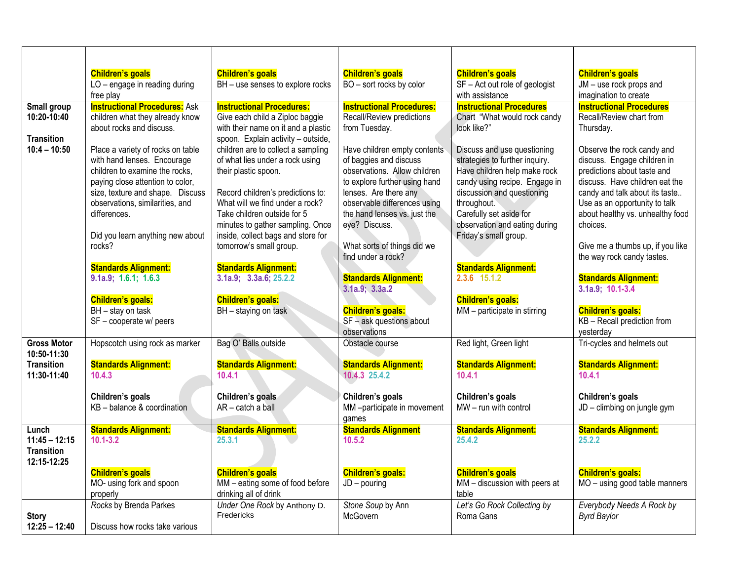|                                                              | <b>Children's goals</b><br>LO - engage in reading during<br>free play                                                                                                                                                                                                                                                                                                                                          | <b>Children's goals</b><br>BH - use senses to explore rocks                                                                                                                                                                                                                                                                                                                                                            | <b>Children's goals</b><br>BO - sort rocks by color                                                                                                                                                                                                                                                                                                                                                             | <b>Children's goals</b><br>SF - Act out role of geologist<br>with assistance                                                                                                                                                                                                                                                                                                | <b>Children's goals</b><br>JM - use rock props and<br>imagination to create                                                                                                                                                                                                                                                                                                                                                                |
|--------------------------------------------------------------|----------------------------------------------------------------------------------------------------------------------------------------------------------------------------------------------------------------------------------------------------------------------------------------------------------------------------------------------------------------------------------------------------------------|------------------------------------------------------------------------------------------------------------------------------------------------------------------------------------------------------------------------------------------------------------------------------------------------------------------------------------------------------------------------------------------------------------------------|-----------------------------------------------------------------------------------------------------------------------------------------------------------------------------------------------------------------------------------------------------------------------------------------------------------------------------------------------------------------------------------------------------------------|-----------------------------------------------------------------------------------------------------------------------------------------------------------------------------------------------------------------------------------------------------------------------------------------------------------------------------------------------------------------------------|--------------------------------------------------------------------------------------------------------------------------------------------------------------------------------------------------------------------------------------------------------------------------------------------------------------------------------------------------------------------------------------------------------------------------------------------|
| Small group<br>10:20-10:40<br><b>Transition</b>              | <b>Instructional Procedures:</b> Ask<br>children what they already know<br>about rocks and discuss.                                                                                                                                                                                                                                                                                                            | <b>Instructional Procedures:</b><br>Give each child a Ziploc baggie<br>with their name on it and a plastic<br>spoon. Explain activity - outside,                                                                                                                                                                                                                                                                       | <b>Instructional Procedures:</b><br>Recall/Review predictions<br>from Tuesday.                                                                                                                                                                                                                                                                                                                                  | <b>Instructional Procedures</b><br>Chart "What would rock candy<br>look like?"                                                                                                                                                                                                                                                                                              | <b>Instructional Procedures</b><br>Recall/Review chart from<br>Thursday.                                                                                                                                                                                                                                                                                                                                                                   |
| $10:4 - 10:50$                                               | Place a variety of rocks on table<br>with hand lenses. Encourage<br>children to examine the rocks,<br>paying close attention to color,<br>size, texture and shape. Discuss<br>observations, similarities, and<br>differences.<br>Did you learn anything new about<br>rocks?<br><b>Standards Alignment:</b><br>9.1a.9; 1.6.1; 1.6.3<br><b>Children's goals:</b><br>BH - stay on task<br>SF - cooperate w/ peers | children are to collect a sampling<br>of what lies under a rock using<br>their plastic spoon.<br>Record children's predictions to:<br>What will we find under a rock?<br>Take children outside for 5<br>minutes to gather sampling. Once<br>inside, collect bags and store for<br>tomorrow's small group.<br><b>Standards Alignment:</b><br>3.1a.9; 3.3a.6; 25.2.2<br><b>Children's goals:</b><br>BH - staying on task | Have children empty contents<br>of baggies and discuss<br>observations. Allow children<br>to explore further using hand<br>lenses. Are there any<br>observable differences using<br>the hand lenses vs. just the<br>eye? Discuss.<br>What sorts of things did we<br>find under a rock?<br><b>Standards Alignment:</b><br>3.1a.9; 3.3a.2<br><b>Children's goals:</b><br>SF - ask questions about<br>observations | Discuss and use questioning<br>strategies to further inquiry.<br>Have children help make rock<br>candy using recipe. Engage in<br>discussion and questioning<br>throughout.<br>Carefully set aside for<br>observation and eating during<br>Friday's small group.<br><b>Standards Alignment:</b><br>2.3.6 15.1.2<br><b>Children's goals:</b><br>MM - participate in stirring | Observe the rock candy and<br>discuss. Engage children in<br>predictions about taste and<br>discuss. Have children eat the<br>candy and talk about its taste<br>Use as an opportunity to talk<br>about healthy vs. unhealthy food<br>choices.<br>Give me a thumbs up, if you like<br>the way rock candy tastes.<br><b>Standards Alignment:</b><br>3.1a.9; 10.1-3.4<br><b>Children's goals:</b><br>KB - Recall prediction from<br>yesterday |
| <b>Gross Motor</b><br>10:50-11:30                            | Hopscotch using rock as marker                                                                                                                                                                                                                                                                                                                                                                                 | Bag O' Balls outside                                                                                                                                                                                                                                                                                                                                                                                                   | Obstacle course                                                                                                                                                                                                                                                                                                                                                                                                 | Red light, Green light                                                                                                                                                                                                                                                                                                                                                      | Tri-cycles and helmets out                                                                                                                                                                                                                                                                                                                                                                                                                 |
| <b>Transition</b><br>11:30-11:40                             | <b>Standards Alignment:</b><br>10.4.3                                                                                                                                                                                                                                                                                                                                                                          | <b>Standards Alignment:</b><br>10.4.1                                                                                                                                                                                                                                                                                                                                                                                  | <b>Standards Alignment:</b><br>10.4.3 25.4.2                                                                                                                                                                                                                                                                                                                                                                    | <b>Standards Alignment:</b><br>10.4.1                                                                                                                                                                                                                                                                                                                                       | <b>Standards Alignment:</b><br>10.4.1                                                                                                                                                                                                                                                                                                                                                                                                      |
|                                                              | Children's goals<br>KB - balance & coordination                                                                                                                                                                                                                                                                                                                                                                | Children's goals<br>AR - catch a ball                                                                                                                                                                                                                                                                                                                                                                                  | Children's goals<br>MM-participate in movement<br>games                                                                                                                                                                                                                                                                                                                                                         | Children's goals<br>MW - run with control                                                                                                                                                                                                                                                                                                                                   | Children's goals<br>JD - climbing on jungle gym                                                                                                                                                                                                                                                                                                                                                                                            |
| Lunch<br>$11:45 - 12:15$<br><b>Transition</b><br>12:15-12:25 | <b>Standards Alignment:</b><br>$10.1 - 3.2$                                                                                                                                                                                                                                                                                                                                                                    | <b>Standards Alignment:</b><br>25.3.1                                                                                                                                                                                                                                                                                                                                                                                  | <b>Standards Alignment</b><br>10.5.2                                                                                                                                                                                                                                                                                                                                                                            | <b>Standards Alignment:</b><br>25.4.2                                                                                                                                                                                                                                                                                                                                       | <b>Standards Alignment:</b><br>25.2.2                                                                                                                                                                                                                                                                                                                                                                                                      |
|                                                              | <b>Children's goals</b><br>MO- using fork and spoon<br>properly                                                                                                                                                                                                                                                                                                                                                | <b>Children's goals</b><br>MM - eating some of food before<br>drinking all of drink                                                                                                                                                                                                                                                                                                                                    | <b>Children's goals:</b><br>$JD -$ pouring                                                                                                                                                                                                                                                                                                                                                                      | <b>Children's goals</b><br>MM - discussion with peers at<br>table                                                                                                                                                                                                                                                                                                           | <b>Children's goals:</b><br>MO - using good table manners                                                                                                                                                                                                                                                                                                                                                                                  |
| <b>Story</b><br>$12:25 - 12:40$                              | Rocks by Brenda Parkes<br>Discuss how rocks take various                                                                                                                                                                                                                                                                                                                                                       | Under One Rock by Anthony D.<br>Fredericks                                                                                                                                                                                                                                                                                                                                                                             | Stone Soup by Ann<br><b>McGovern</b>                                                                                                                                                                                                                                                                                                                                                                            | Let's Go Rock Collecting by<br>Roma Gans                                                                                                                                                                                                                                                                                                                                    | Everybody Needs A Rock by<br><b>Byrd Baylor</b>                                                                                                                                                                                                                                                                                                                                                                                            |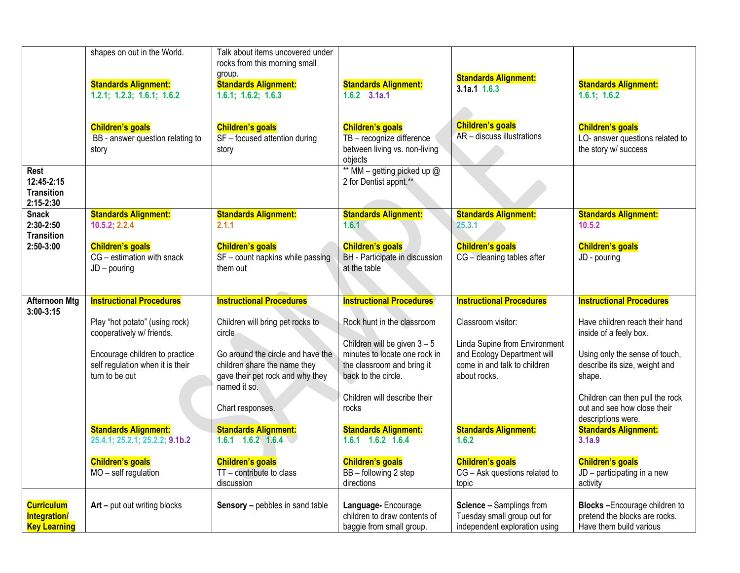|                                                                 | shapes on out in the World.<br><b>Standards Alignment:</b><br>1.2.1; 1.2.3; 1.6.1; 1.6.2<br><b>Children's goals</b><br>BB - answer question relating to<br>story                                                                                        | Talk about items uncovered under<br>rocks from this morning small<br>group.<br><b>Standards Alignment:</b><br>1.6.1; 1.6.2; 1.6.3<br><b>Children's goals</b><br>SF - focused attention during<br>story                                                                               | <b>Standards Alignment:</b><br>$1.6.2$ 3.1a.1<br><b>Children's goals</b><br>TB - recognize difference<br>between living vs. non-living<br>objects                                                                                                                                        | <b>Standards Alignment:</b><br>3.1a.1 1.6.3<br><b>Children's goals</b><br>AR - discuss illustrations                                                                                                          | <b>Standards Alignment:</b><br>1.6.1; 1.6.2<br><b>Children's goals</b><br>LO- answer questions related to<br>the story w/ success                                                                                                                                                                         |
|-----------------------------------------------------------------|---------------------------------------------------------------------------------------------------------------------------------------------------------------------------------------------------------------------------------------------------------|--------------------------------------------------------------------------------------------------------------------------------------------------------------------------------------------------------------------------------------------------------------------------------------|------------------------------------------------------------------------------------------------------------------------------------------------------------------------------------------------------------------------------------------------------------------------------------------|---------------------------------------------------------------------------------------------------------------------------------------------------------------------------------------------------------------|-----------------------------------------------------------------------------------------------------------------------------------------------------------------------------------------------------------------------------------------------------------------------------------------------------------|
| Rest<br>12:45-2:15<br><b>Transition</b><br>$2:15 - 2:30$        |                                                                                                                                                                                                                                                         |                                                                                                                                                                                                                                                                                      | ** MM - getting picked up @<br>2 for Dentist appnt.**                                                                                                                                                                                                                                    |                                                                                                                                                                                                               |                                                                                                                                                                                                                                                                                                           |
| <b>Snack</b><br>$2:30-2:50$<br><b>Transition</b><br>2:50-3:00   | <b>Standards Alignment:</b><br>10.5.2; 2.2.4<br><b>Children's goals</b><br>CG - estimation with snack<br>$JD -$ pouring                                                                                                                                 | <b>Standards Alignment:</b><br>2.1.1<br><b>Children's goals</b><br>$SF - count$ napkins while passing<br>them out                                                                                                                                                                    | <b>Standards Alignment:</b><br>1.6.1<br><b>Children's goals</b><br>BH - Participate in discussion<br>at the table                                                                                                                                                                        | <b>Standards Alignment:</b><br>25.3.1<br><b>Children's goals</b><br>CG - cleaning tables after                                                                                                                | <b>Standards Alignment:</b><br>10.5.2<br><b>Children's goals</b><br>JD - pouring                                                                                                                                                                                                                          |
| <b>Afternoon Mtg</b><br>$3:00 - 3:15$                           | <b>Instructional Procedures</b><br>Play "hot potato" (using rock)<br>cooperatively w/ friends.<br>Encourage children to practice<br>self regulation when it is their<br>turn to be out<br><b>Standards Alignment:</b><br>25.4.1; 25.2.1; 25.2.2; 9.1b.2 | <b>Instructional Procedures</b><br>Children will bring pet rocks to<br>circle<br>Go around the circle and have the<br>children share the name they<br>gave their pet rock and why they<br>named it so.<br>Chart responses.<br><b>Standards Alignment:</b><br>$1.6.1$ $1.6.2$ $1.6.4$ | <b>Instructional Procedures</b><br>Rock hunt in the classroom<br>Children will be given $3 - 5$<br>minutes to locate one rock in<br>the classroom and bring it<br>back to the circle.<br>Children will describe their<br>rocks<br><b>Standards Alignment:</b><br>$1.6.1$ $1.6.2$ $1.6.4$ | <b>Instructional Procedures</b><br>Classroom visitor:<br>Linda Supine from Environment<br>and Ecology Department will<br>come in and talk to children<br>about rocks.<br><b>Standards Alignment:</b><br>1.6.2 | <b>Instructional Procedures</b><br>Have children reach their hand<br>inside of a feely box.<br>Using only the sense of touch,<br>describe its size, weight and<br>shape.<br>Children can then pull the rock<br>out and see how close their<br>descriptions were.<br><b>Standards Alignment:</b><br>3.1a.9 |
|                                                                 | <b>Children's goals</b><br>MO - self regulation                                                                                                                                                                                                         | <b>Children's goals</b><br>TT - contribute to class<br>discussion                                                                                                                                                                                                                    | <b>Children's goals</b><br>BB - following 2 step<br>directions                                                                                                                                                                                                                           | <b>Children's goals</b><br>CG - Ask questions related to<br>topic                                                                                                                                             | <b>Children's goals</b><br>JD - participating in a new<br>activity                                                                                                                                                                                                                                        |
| <b>Curriculum</b><br><b>Integration/</b><br><b>Key Learning</b> | Art - put out writing blocks                                                                                                                                                                                                                            | Sensory - pebbles in sand table                                                                                                                                                                                                                                                      | Language-Encourage<br>children to draw contents of<br>baggie from small group.                                                                                                                                                                                                           | Science - Samplings from<br>Tuesday small group out for<br>independent exploration using                                                                                                                      | Blocks-Encourage children to<br>pretend the blocks are rocks.<br>Have them build various                                                                                                                                                                                                                  |